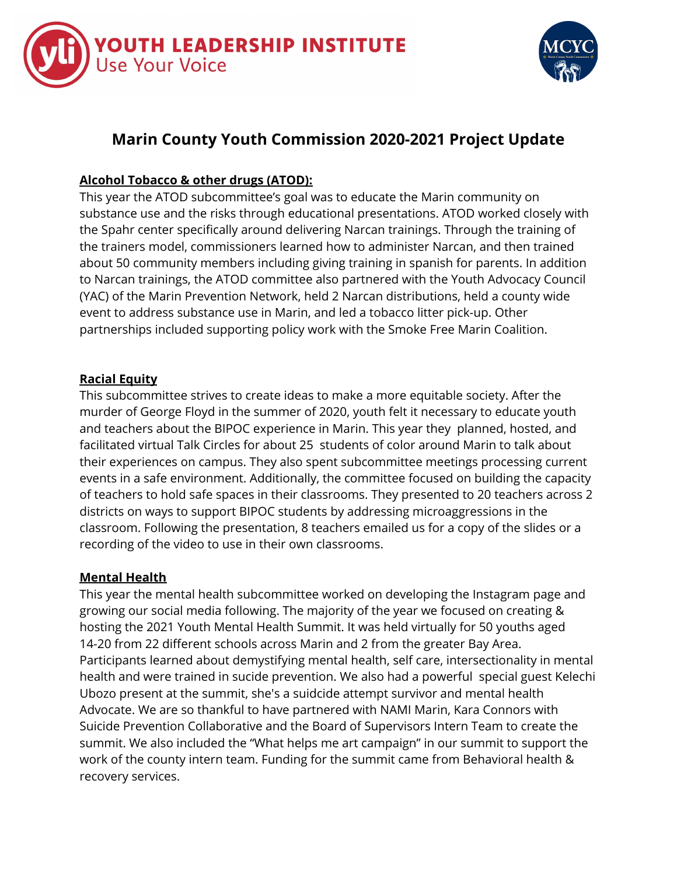



# **Marin County Youth Commission 2020-2021 Project Update**

# **Alcohol Tobacco & other drugs (ATOD):**

This year the ATOD subcommittee's goal was to educate the Marin community on substance use and the risks through educational presentations. ATOD worked closely with the Spahr center specifically around delivering Narcan trainings. Through the training of the trainers model, commissioners learned how to administer Narcan, and then trained about 50 community members including giving training in spanish for parents. In addition to Narcan trainings, the ATOD committee also partnered with the Youth Advocacy Council (YAC) of the Marin Prevention Network, held 2 Narcan distributions, held a county wide event to address substance use in Marin, and led a tobacco litter pick-up. Other partnerships included supporting policy work with the Smoke Free Marin Coalition.

## **Racial Equity**

This subcommittee strives to create ideas to make a more equitable society. After the murder of George Floyd in the summer of 2020, youth felt it necessary to educate youth and teachers about the BIPOC experience in Marin. This year they planned, hosted, and facilitated virtual Talk Circles for about 25 students of color around Marin to talk about their experiences on campus. They also spent subcommittee meetings processing current events in a safe environment. Additionally, the committee focused on building the capacity of teachers to hold safe spaces in their classrooms. They presented to 20 teachers across 2 districts on ways to support BIPOC students by addressing microaggressions in the classroom. Following the presentation, 8 teachers emailed us for a copy of the slides or a recording of the video to use in their own classrooms.

#### **Mental Health**

This year the mental health subcommittee worked on developing the Instagram page and growing our social media following. The majority of the year we focused on creating & hosting the 2021 Youth Mental Health Summit. It was held virtually for 50 youths aged 14-20 from 22 different schools across Marin and 2 from the greater Bay Area. Participants learned about demystifying mental health, self care, intersectionality in mental health and were trained in sucide prevention. We also had a powerful special guest Kelechi Ubozo present at the summit, she's a suidcide attempt survivor and mental health Advocate. We are so thankful to have partnered with NAMI Marin, Kara Connors with Suicide Prevention Collaborative and the Board of Supervisors Intern Team to create the summit. We also included the "What helps me art campaign" in our summit to support the work of the county intern team. Funding for the summit came from Behavioral health & recovery services.